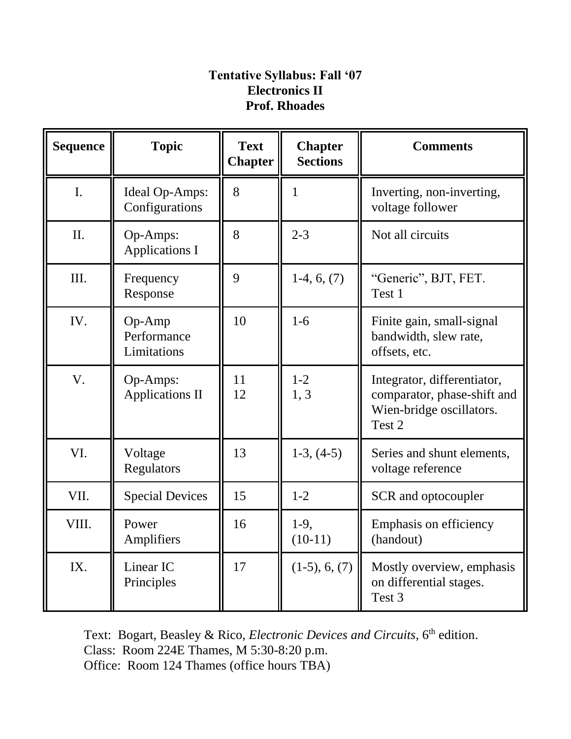## **Tentative Syllabus: Fall '07 Electronics II Prof. Rhoades**

| <b>Sequence</b> | <b>Topic</b>                         | <b>Text</b><br><b>Chapter</b> | <b>Chapter</b><br><b>Sections</b> | <b>Comments</b>                                                                                  |
|-----------------|--------------------------------------|-------------------------------|-----------------------------------|--------------------------------------------------------------------------------------------------|
| $\mathbf{I}$ .  | Ideal Op-Amps:<br>Configurations     | 8                             | 1                                 | Inverting, non-inverting,<br>voltage follower                                                    |
| II.             | Op-Amps:<br><b>Applications I</b>    | 8                             | $2 - 3$                           | Not all circuits                                                                                 |
| III.            | Frequency<br>Response                | 9                             | $1-4, 6, (7)$                     | "Generic", BJT, FET.<br>Test 1                                                                   |
| IV.             | Op-Amp<br>Performance<br>Limitations | 10                            | $1 - 6$                           | Finite gain, small-signal<br>bandwidth, slew rate,<br>offsets, etc.                              |
| V.              | Op-Amps:<br><b>Applications II</b>   | 11<br>12                      | $1 - 2$<br>1, 3                   | Integrator, differentiator,<br>comparator, phase-shift and<br>Wien-bridge oscillators.<br>Test 2 |
| VI.             | Voltage<br>Regulators                | 13                            | $1-3, (4-5)$                      | Series and shunt elements,<br>voltage reference                                                  |
| VII.            | <b>Special Devices</b>               | 15                            | $1 - 2$                           | SCR and optocoupler                                                                              |
| VIII.           | Power<br>Amplifiers                  | 16                            | $1-9$ ,<br>$(10-11)$              | Emphasis on efficiency<br>(handout)                                                              |
| IX.             | Linear IC<br>Principles              | 17                            | $(1-5), 6, (7)$                   | Mostly overview, emphasis<br>on differential stages.<br>Test 3                                   |

Text: Bogart, Beasley & Rico, *Electronic Devices and Circuits*, 6<sup>th</sup> edition. Class: Room 224E Thames, M 5:30-8:20 p.m. Office: Room 124 Thames (office hours TBA)